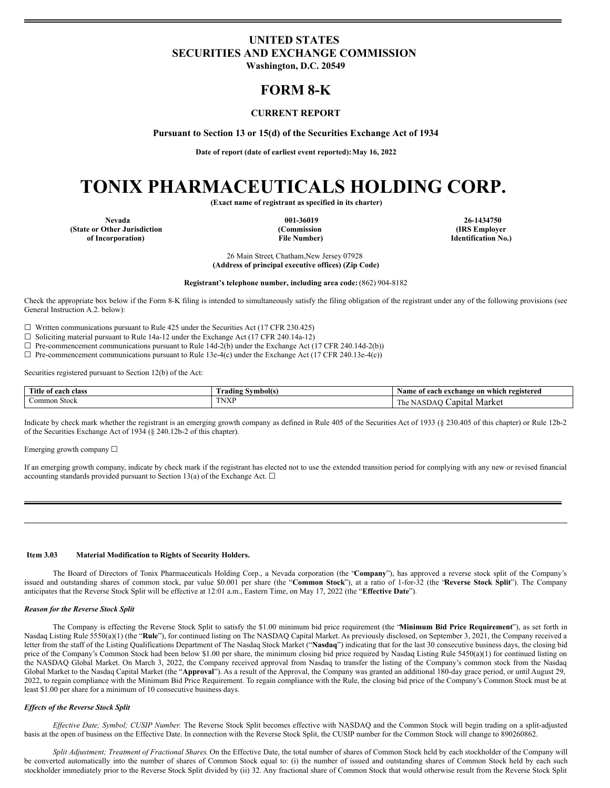## **UNITED STATES SECURITIES AND EXCHANGE COMMISSION**

**Washington, D.C. 20549**

## **FORM 8-K**

## **CURRENT REPORT**

**Pursuant to Section 13 or 15(d) of the Securities Exchange Act of 1934**

**Date of report (date of earliest event reported):May 16, 2022**

## **TONIX PHARMACEUTICALS HOLDING CORP.**

**(Exact name of registrant as specified in its charter)**

**Nevada 001-36019 26-1434750 (State or Other Jurisdiction of Incorporation)**

**(Commission File Number)**

**(IRS Employer Identification No.)**

26 Main Street, Chatham,New Jersey 07928 **(Address of principal executive offices) (Zip Code)**

**Registrant's telephone number, including area code:** (862) 904-8182

Check the appropriate box below if the Form 8-K filing is intended to simultaneously satisfy the filing obligation of the registrant under any of the following provisions (see General Instruction A.2. below):

☐ Written communications pursuant to Rule 425 under the Securities Act (17 CFR 230.425)

 $\Box$  Soliciting material pursuant to Rule 14a-12 under the Exchange Act (17 CFR 240.14a-12)

 $\Box$  Pre-commencement communications pursuant to Rule 14d-2(b) under the Exchange Act (17 CFR 240.14d-2(b))

 $\Box$  Pre-commencement communications pursuant to Rule 13e-4(c) under the Exchange Act (17 CFR 240.13e-4(c))

Securities registered pursuant to Section 12(b) of the Act:

| m.<br>l Itl<br>each class<br>-01 | $\sim$<br>Symbol(s)<br>radıng | registered<br><b>vam</b><br>each exchange<br>which<br>- on<br>01 |  |
|----------------------------------|-------------------------------|------------------------------------------------------------------|--|
| Stock<br>`ommot                  | 17 L                          | Marke⊧<br>anital<br>he                                           |  |

Indicate by check mark whether the registrant is an emerging growth company as defined in Rule 405 of the Securities Act of 1933 (§ 230.405 of this chapter) or Rule 12b-2 of the Securities Exchange Act of 1934 (§ 240.12b-2 of this chapter).

Emerging growth company  $\Box$ 

If an emerging growth company, indicate by check mark if the registrant has elected not to use the extended transition period for complying with any new or revised financial accounting standards provided pursuant to Section 13(a) of the Exchange Act.  $\square$ 

#### **Item 3.03 Material Modification to Rights of Security Holders.**

The Board of Directors of Tonix Pharmaceuticals Holding Corp., a Nevada corporation (the "**Company**"), has approved a reverse stock split of the Company's issued and outstanding shares of common stock, par value \$0.001 per share (the "**Common Stock**"), at a ratio of 1-for-32 (the "**Reverse Stock Split**"). The Company anticipates that the Reverse Stock Split will be effective at 12:01 a.m., Eastern Time, on May 17, 2022 (the "**Effective Date**").

#### *Reason for the Reverse Stock Split*

The Company is effecting the Reverse Stock Split to satisfy the \$1.00 minimum bid price requirement (the "**Minimum Bid Price Requirement**"), as set forth in Nasdaq Listing Rule 5550(a)(1) (the "Rule"), for continued listing on The NASDAQ Capital Market. As previously disclosed, on September 3, 2021, the Company received a letter from the staff of the Listing Qualifications Department of The Nasdaq Stock Market ("**Nasdaq**") indicating that for the last 30 consecutive business days, the closing bid price of the Company's Common Stock had been below \$1.00 per share, the minimum closing bid price required by Nasdaq Listing Rule 5450(a)(1) for continued listing on the NASDAQ Global Market. On March 3, 2022, the Company received approval from Nasdaq to transfer the listing of the Company's common stock from the Nasdaq Global Market to the Nasdaq Capital Market (the "**Approval**"). As a result of the Approval, the Company was granted an additional 180-day grace period, or until August 29, 2022, to regain compliance with the Minimum Bid Price Requirement. To regain compliance with the Rule, the closing bid price of the Company's Common Stock must be at least \$1.00 per share for a minimum of 10 consecutive business days.

#### *Ef ects of the Reverse Stock Split*

*Ef ective Date; Symbol; CUSIP Number.* The Reverse Stock Split becomes effective with NASDAQ and the Common Stock will begin trading on a split-adjusted basis at the open of business on the Effective Date. In connection with the Reverse Stock Split, the CUSIP number for the Common Stock will change to 890260862.

*Split Adjustment; Treatment of Fractional Shares*. On the Effective Date, the total number of shares of Common Stock held by each stockholder of the Company will be converted automatically into the number of shares of Common Stock equal to: (i) the number of issued and outstanding shares of Common Stock held by each such stockholder immediately prior to the Reverse Stock Split divided by (ii) 32. Any fractional share of Common Stock that would otherwise result from the Reverse Stock Split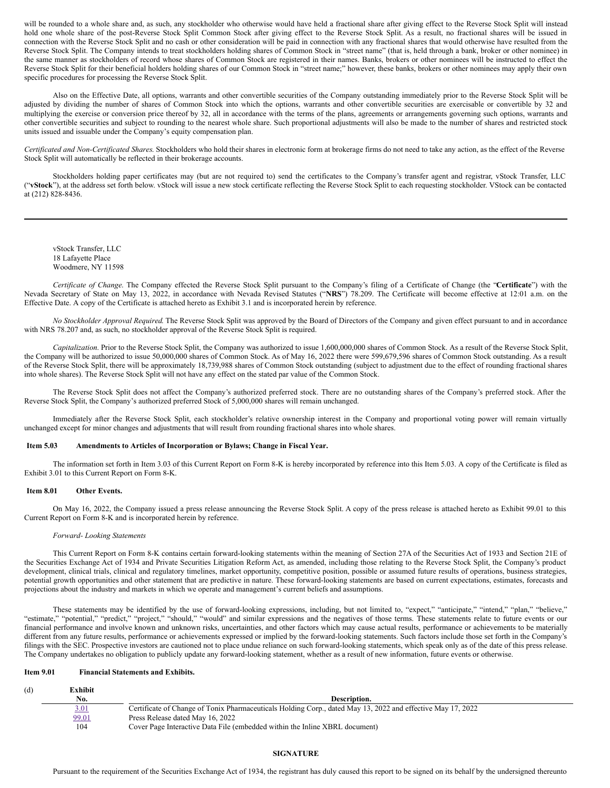<span id="page-1-0"></span>will be rounded to a whole share and, as such, any stockholder who otherwise would have held a fractional share after giving effect to the Reverse Stock Split will instead hold one whole share of the post-Reverse Stock Split Common Stock after giving effect to the Reverse Stock Split. As a result, no fractional shares will be issued in connection with the Reverse Stock Split and no cash or other consideration will be paid in connection with any fractional shares that would otherwise have resulted from the Reverse Stock Split. The Company intends to treat stockholders holding shares of Common Stock in "street name" (that is, held through a bank, broker or other nominee) in the same manner as stockholders of record whose shares of Common Stock are registered in their names. Banks, brokers or other nominees will be instructed to effect the Reverse Stock Split for their beneficial holders holding shares of our Common Stock in "street name;" however, these banks, brokers or other nominees may apply their own specific procedures for processing the Reverse Stock Split.

Also on the Effective Date, all options, warrants and other convertible securities of the Company outstanding immediately prior to the Reverse Stock Split will be adjusted by dividing the number of shares of Common Stock into which the options, warrants and other convertible securities are exercisable or convertible by 32 and multiplying the exercise or conversion price thereof by 32, all in accordance with the terms of the plans, agreements or arrangements governing such options, warrants and other convertible securities and subject to rounding to the nearest whole share. Such proportional adjustments will also be made to the number of shares and restricted stock units issued and issuable under the Company's equity compensation plan.

*Certificated and Non-Certificated Shares*. Stockholders who hold their shares in electronic form at brokerage firms do not need to take any action, as the effect of the Reverse Stock Split will automatically be reflected in their brokerage accounts.

Stockholders holding paper certificates may (but are not required to) send the certificates to the Company's transfer agent and registrar, vStock Transfer, LLC ("**vStock**"), at the address set forth below. vStock will issue a new stock certificate reflecting the Reverse Stock Split to each requesting stockholder. VStock can be contacted at (212) 828-8436.

vStock Transfer, LLC 18 Lafayette Place Woodmere, NY 11598

*Certificate of Change*. The Company effected the Reverse Stock Split pursuant to the Company's filing of a Certificate of Change (the "**Certificate**") with the Nevada Secretary of State on May 13, 2022, in accordance with Nevada Revised Statutes ("**NRS**") 78.209. The Certificate will become effective at 12:01 a.m. on the Effective Date. A copy of the Certificate is attached hereto as Exhibit 3.1 and is incorporated herein by reference.

*No Stockholder Approval Required*. The Reverse Stock Split was approved by the Board of Directors of the Company and given effect pursuant to and in accordance with NRS 78.207 and, as such, no stockholder approval of the Reverse Stock Split is required.

*Capitalization*. Prior to the Reverse Stock Split, the Company was authorized to issue 1,600,000,000 shares of Common Stock. As a result of the Reverse Stock Split, the Company will be authorized to issue 50,000,000 shares of Common Stock. As of May 16, 2022 there were 599,679,596 shares of Common Stock outstanding. As a result of the Reverse Stock Split, there will be approximately 18,739,988 shares of Common Stock outstanding (subject to adjustment due to the effect of rounding fractional shares into whole shares). The Reverse Stock Split will not have any effect on the stated par value of the Common Stock.

The Reverse Stock Split does not affect the Company's authorized preferred stock. There are no outstanding shares of the Company's preferred stock. After the Reverse Stock Split, the Company's authorized preferred Stock of 5,000,000 shares will remain unchanged.

Immediately after the Reverse Stock Split, each stockholder's relative ownership interest in the Company and proportional voting power will remain virtually unchanged except for minor changes and adjustments that will result from rounding fractional shares into whole shares.

#### **Item 5.03 Amendments to Articles of Incorporation or Bylaws; Change in Fiscal Year.**

The information set forth in Item 3.03 of this Current Report on Form 8-K is hereby incorporated by reference into this Item 5.03. A copy of the Certificate is filed as Exhibit 3.01 to this Current Report on Form 8-K.

#### **Item 8.01 Other Events.**

On May 16, 2022, the Company issued a press release announcing the Reverse Stock Split. A copy of the press release is attached hereto as Exhibit 99.01 to this Current Report on Form 8-K and is incorporated herein by reference.

#### *Forward- Looking Statements*

This Current Report on Form 8-K contains certain forward-looking statements within the meaning of Section 27A of the Securities Act of 1933 and Section 21E of the Securities Exchange Act of 1934 and Private Securities Litigation Reform Act, as amended, including those relating to the Reverse Stock Split, the Company's product development, clinical trials, clinical and regulatory timelines, market opportunity, competitive position, possible or assumed future results of operations, business strategies, potential growth opportunities and other statement that are predictive in nature. These forward-looking statements are based on current expectations, estimates, forecasts and projections about the industry and markets in which we operate and management's current beliefs and assumptions.

These statements may be identified by the use of forward-looking expressions, including, but not limited to, "expect," "anticipate," "intend," "plan," "believe," "estimate," "potential," "predict," "project," "should," "would" and similar expressions and the negatives of those terms. These statements relate to future events or our financial performance and involve known and unknown risks, uncertainties, and other factors which may cause actual results, performance or achievements to be materially different from any future results, performance or achievements expressed or implied by the forward-looking statements. Such factors include those set forth in the Company's filings with the SEC. Prospective investors are cautioned not to place undue reliance on such forward-looking statements, which speak only as of the date of this press release. The Company undertakes no obligation to publicly update any forward-looking statement, whether as a result of new information, future events or otherwise.

#### **Item 9.01 Financial Statements and Exhibits.**

| (d) | Exhibit     |                                                                                                             |
|-----|-------------|-------------------------------------------------------------------------------------------------------------|
|     | No.         | Description.                                                                                                |
|     | <u>3.01</u> | Certificate of Change of Tonix Pharmaceuticals Holding Corp., dated May 13, 2022 and effective May 17, 2022 |
|     | 99.01       | Press Release dated May 16, 2022                                                                            |
|     | 104         | Cover Page Interactive Data File (embedded within the Inline XBRL document)                                 |

#### **SIGNATURE**

Pursuant to the requirement of the Securities Exchange Act of 1934, the registrant has duly caused this report to be signed on its behalf by the undersigned thereunto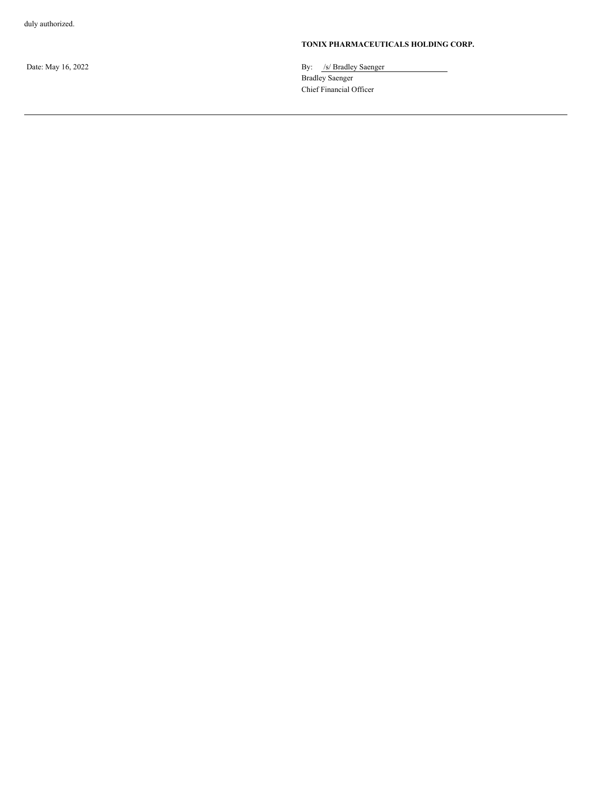## **TONIX PHARMACEUTICALS HOLDING CORP.**

Date: May 16, 2022 By: /s/ Bradley Saenger Bradley Saenger Chief Financial Officer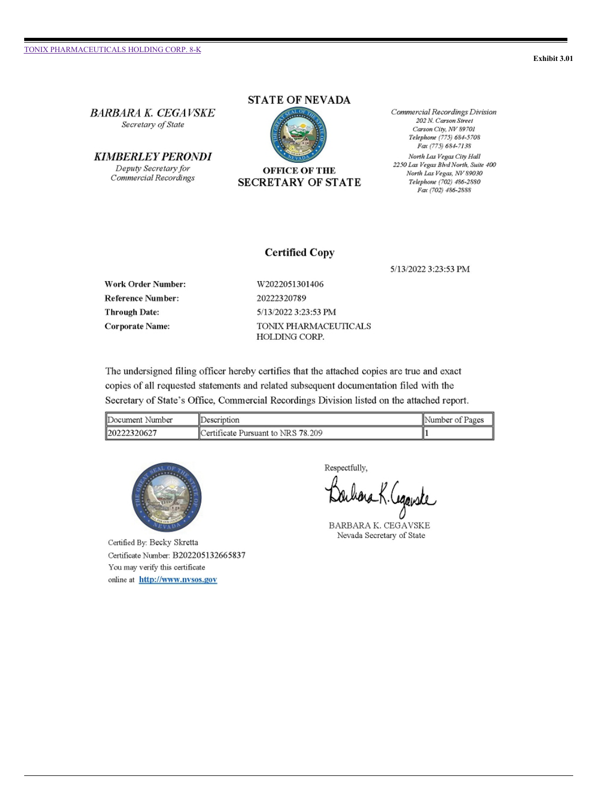Exhibit 3.01

<span id="page-3-0"></span>**BARBARA K. CEGAVSKE** Secretary of State

**KIMBERLEY PERONDI** Deputy Secretary for Commercial Recordings

## **STATE OF NEVADA**



Commercial Recordings Division 202 N. Carson Street Carson City, NV 89701 Telephone (775) 684-5708 Fax (775) 684-7138 North Las Vegas City Hall 2250 Las Vegas Blvd North, Suite 400 North Las Vegas, NV 89030 Telephone (702) 486-2880 Fax (702) 486-2888

## **Certified Copy**

5/13/2022 3:23:53 PM

**Work Order Number:** Reference Number: **Through Date: Corporate Name:** 

W2022051301406 20222320789 5/13/2022 3:23:53 PM TONIX PHARMACEUTICALS HOLDING CORP.

The undersigned filing officer hereby certifies that the attached copies are true and exact copies of all requested statements and related subsequent documentation filed with the Secretary of State's Office, Commercial Recordings Division listed on the attached report.

| Document<br><b>IDescription</b><br>Number |                                    | Number of Pages |
|-------------------------------------------|------------------------------------|-----------------|
| 120222320627                              | Certificate Pursuant to NRS 78.209 |                 |



Certified By: Becky Skretta Certificate Number: B202205132665837 You may verify this certificate online at http://www.nvsos.gov

Respectfully,

hara K. Cegarske

BARBARA K. CEGAVSKE Nevada Secretary of State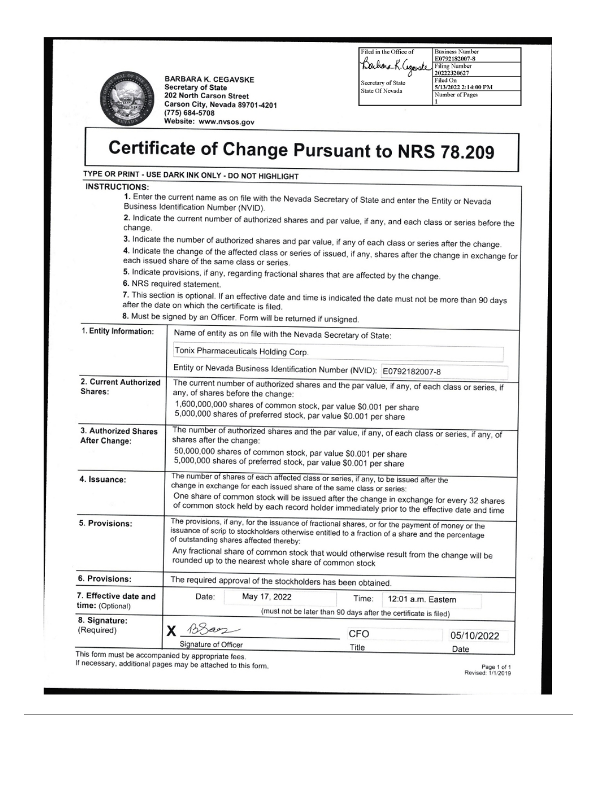

**BARBARA K. CEGAVSKE Secretary of State** 202 North Carson Street Carson City, Nevada 89701-4201 (775) 684-5708 Website: www.nvsos.gov



**Business Number** E0792182007-8 Filing Number 20222320627

Filed On 5/13/2022 2:14:00 PM Number of Pages

# **Certificate of Change Pursuant to NRS 78.209**

## TYPE OR PRINT - USE DARK INK ONLY - DO NOT HIGHLIGHT

## **INSTRUCTIONS:**

1. Enter the current name as on file with the Nevada Secretary of State and enter the Entity or Nevada Business Identification Number (NVID).

2. Indicate the current number of authorized shares and par value, if any, and each class or series before the change.

3. Indicate the number of authorized shares and par value, if any of each class or series after the change.

4. Indicate the change of the affected class or series of issued, if any, shares after the change in exchange for each issued share of the same class or series.

5. Indicate provisions, if any, regarding fractional shares that are affected by the change.

6. NRS required statement.

7. This section is optional. If an effective date and time is indicated the date must not be more than 90 days after the date on which the certificate is filed.

8. Must be signed by an Officer. Form will be returned if unsigned.

| 1. Entity Information:                                                                                                                            | Name of entity as on file with the Nevada Secretary of State:<br>Tonix Pharmaceuticals Holding Corp.                                                                                                                                                        |                                                                       |            |                    |            |  |
|---------------------------------------------------------------------------------------------------------------------------------------------------|-------------------------------------------------------------------------------------------------------------------------------------------------------------------------------------------------------------------------------------------------------------|-----------------------------------------------------------------------|------------|--------------------|------------|--|
|                                                                                                                                                   |                                                                                                                                                                                                                                                             |                                                                       |            |                    |            |  |
|                                                                                                                                                   |                                                                                                                                                                                                                                                             | Entity or Nevada Business Identification Number (NVID): E0792182007-8 |            |                    |            |  |
| 2. Current Authorized<br>Shares:                                                                                                                  | The current number of authorized shares and the par value, if any, of each class or series, if<br>any, of shares before the change:                                                                                                                         |                                                                       |            |                    |            |  |
|                                                                                                                                                   | 1,600,000,000 shares of common stock, par value \$0.001 per share<br>5,000,000 shares of preferred stock, par value \$0.001 per share                                                                                                                       |                                                                       |            |                    |            |  |
| 3. Authorized Shares<br>After Change:                                                                                                             | The number of authorized shares and the par value, if any, of each class or series, if any, of<br>shares after the change:                                                                                                                                  |                                                                       |            |                    |            |  |
|                                                                                                                                                   | 50,000,000 shares of common stock, par value \$0.001 per share<br>5,000,000 shares of preferred stock, par value \$0.001 per share                                                                                                                          |                                                                       |            |                    |            |  |
| 4. Issuance:                                                                                                                                      | The number of shares of each affected class or series, if any, to be issued after the<br>change in exchange for each issued share of the same class or series:<br>One share of common stock will be issued after the change in exchange for every 32 shares |                                                                       |            |                    |            |  |
|                                                                                                                                                   | of common stock held by each record holder immediately prior to the effective date and time                                                                                                                                                                 |                                                                       |            |                    |            |  |
| 5. Provisions:                                                                                                                                    | The provisions, if any, for the issuance of fractional shares, or for the payment of money or the<br>issuance of scrip to stockholders otherwise entitled to a fraction of a share and the percentage<br>of outstanding shares affected thereby:            |                                                                       |            |                    |            |  |
| Any fractional share of common stock that would otherwise result from the change will be<br>rounded up to the nearest whole share of common stock |                                                                                                                                                                                                                                                             |                                                                       |            |                    |            |  |
| 6. Provisions:                                                                                                                                    | The required approval of the stockholders has been obtained.                                                                                                                                                                                                |                                                                       |            |                    |            |  |
| 7. Effective date and<br>time: (Optional)                                                                                                         | Date:                                                                                                                                                                                                                                                       | May 17, 2022                                                          | Time:      | 12:01 a.m. Eastern |            |  |
|                                                                                                                                                   | (must not be later than 90 days after the certificate is filed)                                                                                                                                                                                             |                                                                       |            |                    |            |  |
| 8. Signature:<br>(Required)                                                                                                                       | x                                                                                                                                                                                                                                                           |                                                                       | <b>CFO</b> |                    | 05/10/2022 |  |
|                                                                                                                                                   | Signature of Officer                                                                                                                                                                                                                                        |                                                                       | Title      |                    | Date       |  |
| This form must be accompanied by appropriate fees                                                                                                 |                                                                                                                                                                                                                                                             |                                                                       |            |                    |            |  |

If necessary, additional pages may be attached to this form.

Page 1 of 1<br>Revised: 1/1/2019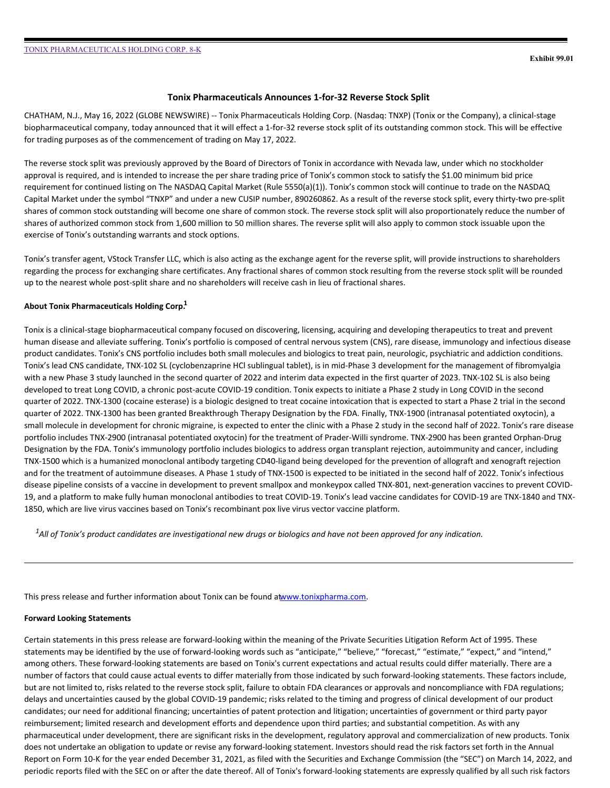## **Tonix Pharmaceuticals Announces 1-for-32 Reverse Stock Split**

<span id="page-5-0"></span>CHATHAM, N.J., May 16, 2022 (GLOBE NEWSWIRE) -- Tonix Pharmaceuticals Holding Corp. (Nasdaq: TNXP) (Tonix or the Company), a clinical-stage biopharmaceutical company, today announced that it will effect a 1-for-32 reverse stock split of its outstanding common stock. This will be effective for trading purposes as of the commencement of trading on May 17, 2022.

The reverse stock split was previously approved by the Board of Directors of Tonix in accordance with Nevada law, under which no stockholder approval is required, and is intended to increase the per share trading price of Tonix's common stock to satisfy the \$1.00 minimum bid price requirement for continued listing on The NASDAQ Capital Market (Rule 5550(a)(1)). Tonix's common stock will continue to trade on the NASDAQ Capital Market under the symbol "TNXP" and under a new CUSIP number, 890260862. As a result of the reverse stock split, every thirty-two pre-split shares of common stock outstanding will become one share of common stock. The reverse stock split will also proportionately reduce the number of shares of authorized common stock from 1,600 million to 50 million shares. The reverse split will also apply to common stock issuable upon the exercise of Tonix's outstanding warrants and stock options.

Tonix's transfer agent, VStock Transfer LLC, which is also acting as the exchange agent for the reverse split, will provide instructions to shareholders regarding the process for exchanging share certificates. Any fractional shares of common stock resulting from the reverse stock split will be rounded up to the nearest whole post-split share and no shareholders will receive cash in lieu of fractional shares.

## **About Tonix Pharmaceuticals Holding Corp. 1**

Tonix is a clinical-stage biopharmaceutical company focused on discovering, licensing, acquiring and developing therapeutics to treat and prevent human disease and alleviate suffering. Tonix's portfolio is composed of central nervous system (CNS), rare disease, immunology and infectious disease product candidates. Tonix's CNS portfolio includes both small molecules and biologics to treat pain, neurologic, psychiatric and addiction conditions. Tonix's lead CNS candidate, TNX-102 SL (cyclobenzaprine HCl sublingual tablet), is in mid-Phase 3 development for the management of fibromyalgia with a new Phase 3 study launched in the second quarter of 2022 and interim data expected in the first quarter of 2023. TNX-102 SL is also being developed to treat Long COVID, a chronic post-acute COVID-19 condition. Tonix expects to initiate a Phase 2 study in Long COVID in the second quarter of 2022. TNX-1300 (cocaine esterase) is a biologic designed to treat cocaine intoxication that is expected to start a Phase 2 trial in the second quarter of 2022. TNX-1300 has been granted Breakthrough Therapy Designation by the FDA. Finally, TNX-1900 (intranasal potentiated oxytocin), a small molecule in development for chronic migraine, is expected to enter the clinic with a Phase 2 study in the second half of 2022. Tonix's rare disease portfolio includes TNX-2900 (intranasal potentiated oxytocin) for the treatment of Prader-Willi syndrome. TNX-2900 has been granted Orphan-Drug Designation by the FDA. Tonix's immunology portfolio includes biologics to address organ transplant rejection, autoimmunity and cancer, including TNX-1500 which is a humanized monoclonal antibody targeting CD40-ligand being developed for the prevention of allograft and xenograft rejection and for the treatment of autoimmune diseases. A Phase 1 study of TNX-1500 is expected to be initiated in the second half of 2022. Tonix's infectious disease pipeline consists of a vaccine in development to prevent smallpox and monkeypox called TNX-801, next-generation vaccines to prevent COVID-19, and a platform to make fully human monoclonal antibodies to treat COVID-19. Tonix's lead vaccine candidates for COVID-19 are TNX-1840 and TNX-1850, which are live virus vaccines based on Tonix's recombinant pox live virus vector vaccine platform.

 $<sup>1</sup>$ All of Tonix's product candidates are investigational new drugs or biologics and have not been approved for any indication.</sup>

This press release and further information about Tonix can be found atwww.tonixpharma.com.

#### **Forward Looking Statements**

Certain statements in this press release are forward-looking within the meaning of the Private Securities Litigation Reform Act of 1995. These statements may be identified by the use of forward-looking words such as "anticipate," "believe," "forecast," "estimate," "expect," and "intend," among others. These forward-looking statements are based on Tonix's current expectations and actual results could differ materially. There are a number of factors that could cause actual events to differ materially from those indicated by such forward-looking statements. These factors include, but are not limited to, risks related to the reverse stock split, failure to obtain FDA clearances or approvals and noncompliance with FDA regulations; delays and uncertainties caused by the global COVID-19 pandemic; risks related to the timing and progress of clinical development of our product candidates; our need for additional financing; uncertainties of patent protection and litigation; uncertainties of government or third party payor reimbursement; limited research and development efforts and dependence upon third parties; and substantial competition. As with any pharmaceutical under development, there are significant risks in the development, regulatory approval and commercialization of new products. Tonix does not undertake an obligation to update or revise any forward-looking statement. Investors should read the risk factors set forth in the Annual Report on Form 10-K for the year ended December 31, 2021, as filed with the Securities and Exchange Commission (the "SEC") on March 14, 2022, and periodic reports filed with the SEC on or after the date thereof. All of Tonix's forward-looking statements are expressly qualified by all such risk factors